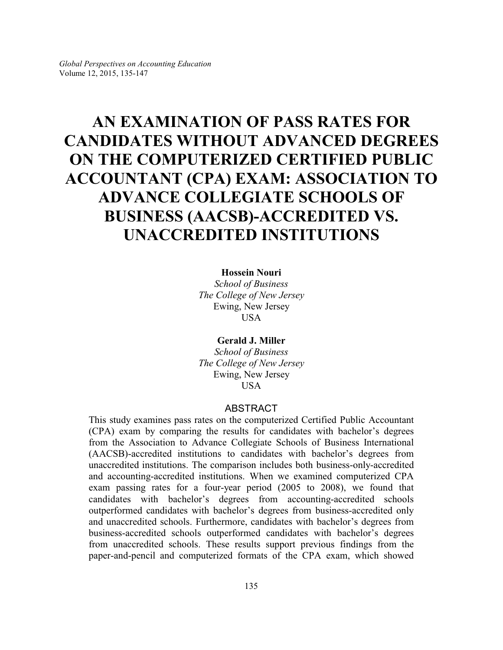# **AN EXAMINATION OF PASS RATES FOR CANDIDATES WITHOUT ADVANCED DEGREES ON THE COMPUTERIZED CERTIFIED PUBLIC ACCOUNTANT (CPA) EXAM: ASSOCIATION TO ADVANCE COLLEGIATE SCHOOLS OF BUSINESS (AACSB)-ACCREDITED VS. UNACCREDITED INSTITUTIONS**

## **Hossein Nouri**

*School of Business The College of New Jersey* Ewing, New Jersey USA

**Gerald J. Miller** *School of Business The College of New Jersey* Ewing, New Jersey **USA** 

### ABSTRACT

This study examines pass rates on the computerized Certified Public Accountant (CPA) exam by comparing the results for candidates with bachelor's degrees from the Association to Advance Collegiate Schools of Business International (AACSB)-accredited institutions to candidates with bachelor's degrees from unaccredited institutions. The comparison includes both business-only-accredited and accounting-accredited institutions. When we examined computerized CPA exam passing rates for a four-year period (2005 to 2008), we found that candidates with bachelor's degrees from accounting-accredited schools outperformed candidates with bachelor's degrees from business-accredited only and unaccredited schools. Furthermore, candidates with bachelor's degrees from business-accredited schools outperformed candidates with bachelor's degrees from unaccredited schools. These results support previous findings from the paper-and-pencil and computerized formats of the CPA exam, which showed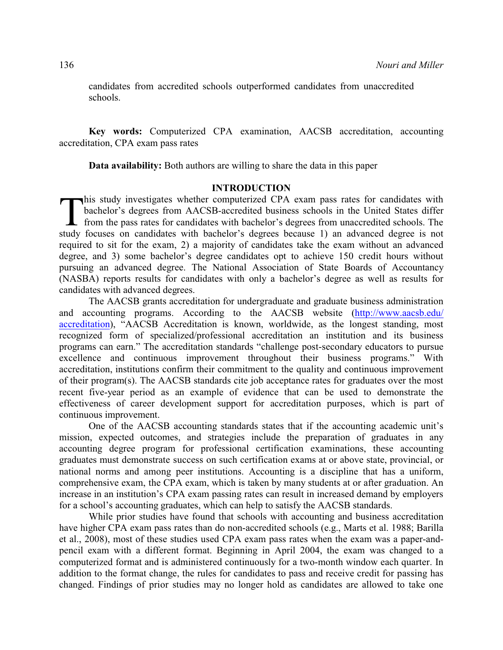candidates from accredited schools outperformed candidates from unaccredited schools.

**Key words:** Computerized CPA examination, AACSB accreditation, accounting accreditation, CPA exam pass rates

**Data availability:** Both authors are willing to share the data in this paper

# **INTRODUCTION**

 $\prod_{\text{study}}$ his study investigates whether computerized CPA exam pass rates for candidates with bachelor's degrees from AACSB-accredited business schools in the United States differ from the pass rates for candidates with bachelor's degrees from unaccredited schools. The study focuses on candidates with bachelor's degrees because 1) an advanced degree is not required to sit for the exam, 2) a majority of candidates take the exam without an advanced degree, and 3) some bachelor's degree candidates opt to achieve 150 credit hours without pursuing an advanced degree. The National Association of State Boards of Accountancy (NASBA) reports results for candidates with only a bachelor's degree as well as results for candidates with advanced degrees.

The AACSB grants accreditation for undergraduate and graduate business administration and accounting programs. According to the AACSB website [\(http://www.aacsb.edu/](http://www.aacsb.edu/accreditation) [accreditation](http://www.aacsb.edu/accreditation)), "AACSB Accreditation is known, worldwide, as the longest standing, most recognized form of specialized/professional accreditation an institution and its business programs can earn." The accreditation standards "challenge post-secondary educators to pursue excellence and continuous improvement throughout their business programs." With accreditation, institutions confirm their commitment to the quality and continuous improvement of their program(s). The AACSB standards cite job acceptance rates for graduates over the most recent five-year period as an example of evidence that can be used to demonstrate the effectiveness of career development support for accreditation purposes, which is part of continuous improvement.

One of the AACSB accounting standards states that if the accounting academic unit's mission, expected outcomes, and strategies include the preparation of graduates in any accounting degree program for professional certification examinations, these accounting graduates must demonstrate success on such certification exams at or above state, provincial, or national norms and among peer institutions. Accounting is a discipline that has a uniform, comprehensive exam, the CPA exam, which is taken by many students at or after graduation. An increase in an institution's CPA exam passing rates can result in increased demand by employers for a school's accounting graduates, which can help to satisfy the AACSB standards.

While prior studies have found that schools with accounting and business accreditation have higher CPA exam pass rates than do non-accredited schools (e.g., Marts et al. 1988; Barilla et al., 2008), most of these studies used CPA exam pass rates when the exam was a paper-andpencil exam with a different format. Beginning in April 2004, the exam was changed to a computerized format and is administered continuously for a two-month window each quarter. In addition to the format change, the rules for candidates to pass and receive credit for passing has changed. Findings of prior studies may no longer hold as candidates are allowed to take one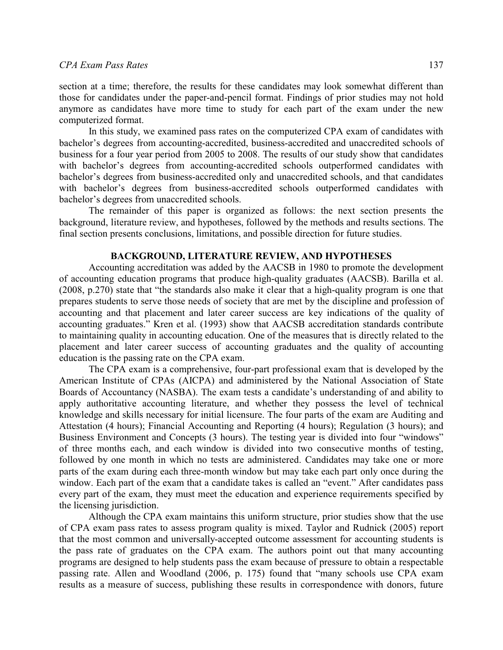section at a time; therefore, the results for these candidates may look somewhat different than those for candidates under the paper-and-pencil format. Findings of prior studies may not hold anymore as candidates have more time to study for each part of the exam under the new computerized format.

In this study, we examined pass rates on the computerized CPA exam of candidates with bachelor's degrees from accounting-accredited, business-accredited and unaccredited schools of business for a four year period from 2005 to 2008. The results of our study show that candidates with bachelor's degrees from accounting-accredited schools outperformed candidates with bachelor's degrees from business-accredited only and unaccredited schools, and that candidates with bachelor's degrees from business-accredited schools outperformed candidates with bachelor's degrees from unaccredited schools.

The remainder of this paper is organized as follows: the next section presents the background, literature review, and hypotheses, followed by the methods and results sections. The final section presents conclusions, limitations, and possible direction for future studies.

### **BACKGROUND, LITERATURE REVIEW, AND HYPOTHESES**

Accounting accreditation was added by the AACSB in 1980 to promote the development of accounting education programs that produce high-quality graduates (AACSB). Barilla et al. (2008, p.270) state that "the standards also make it clear that a high-quality program is one that prepares students to serve those needs of society that are met by the discipline and profession of accounting and that placement and later career success are key indications of the quality of accounting graduates." Kren et al. (1993) show that AACSB accreditation standards contribute to maintaining quality in accounting education. One of the measures that is directly related to the placement and later career success of accounting graduates and the quality of accounting education is the passing rate on the CPA exam.

The CPA exam is a comprehensive, four-part professional exam that is developed by the American Institute of CPAs (AICPA) and administered by the National Association of State Boards of Accountancy (NASBA). The exam tests a candidate's understanding of and ability to apply authoritative accounting literature, and whether they possess the level of technical knowledge and skills necessary for initial licensure. The four parts of the exam are Auditing and Attestation (4 hours); Financial Accounting and Reporting (4 hours); Regulation (3 hours); and Business Environment and Concepts (3 hours). The testing year is divided into four "windows" of three months each, and each window is divided into two consecutive months of testing, followed by one month in which no tests are administered. Candidates may take one or more parts of the exam during each three-month window but may take each part only once during the window. Each part of the exam that a candidate takes is called an "event." After candidates pass every part of the exam, they must meet the education and experience requirements specified by the licensing jurisdiction.

Although the CPA exam maintains this uniform structure, prior studies show that the use of CPA exam pass rates to assess program quality is mixed. Taylor and Rudnick (2005) report that the most common and universally-accepted outcome assessment for accounting students is the pass rate of graduates on the CPA exam. The authors point out that many accounting programs are designed to help students pass the exam because of pressure to obtain a respectable passing rate. Allen and Woodland (2006, p. 175) found that "many schools use CPA exam results as a measure of success, publishing these results in correspondence with donors, future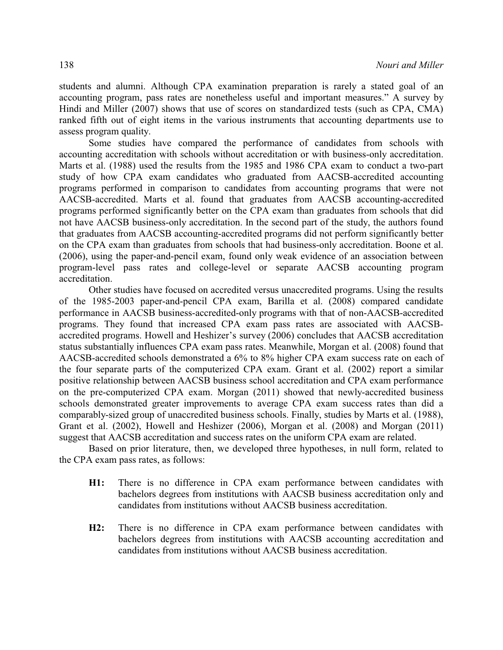students and alumni. Although CPA examination preparation is rarely a stated goal of an accounting program, pass rates are nonetheless useful and important measures." A survey by Hindi and Miller (2007) shows that use of scores on standardized tests (such as CPA, CMA) ranked fifth out of eight items in the various instruments that accounting departments use to assess program quality.

Some studies have compared the performance of candidates from schools with accounting accreditation with schools without accreditation or with business-only accreditation. Marts et al. (1988) used the results from the 1985 and 1986 CPA exam to conduct a two-part study of how CPA exam candidates who graduated from AACSB-accredited accounting programs performed in comparison to candidates from accounting programs that were not AACSB-accredited. Marts et al. found that graduates from AACSB accounting-accredited programs performed significantly better on the CPA exam than graduates from schools that did not have AACSB business-only accreditation. In the second part of the study, the authors found that graduates from AACSB accounting-accredited programs did not perform significantly better on the CPA exam than graduates from schools that had business-only accreditation. Boone et al. (2006), using the paper-and-pencil exam, found only weak evidence of an association between program-level pass rates and college-level or separate AACSB accounting program accreditation.

Other studies have focused on accredited versus unaccredited programs. Using the results of the 1985-2003 paper-and-pencil CPA exam, Barilla et al. (2008) compared candidate performance in AACSB business-accredited-only programs with that of non-AACSB-accredited programs. They found that increased CPA exam pass rates are associated with AACSBaccredited programs. Howell and Heshizer's survey (2006) concludes that AACSB accreditation status substantially influences CPA exam pass rates. Meanwhile, Morgan et al. (2008) found that AACSB-accredited schools demonstrated a 6% to 8% higher CPA exam success rate on each of the four separate parts of the computerized CPA exam. Grant et al. (2002) report a similar positive relationship between AACSB business school accreditation and CPA exam performance on the pre-computerized CPA exam. Morgan (2011) showed that newly-accredited business schools demonstrated greater improvements to average CPA exam success rates than did a comparably-sized group of unaccredited business schools. Finally, studies by Marts et al. (1988), Grant et al. (2002), Howell and Heshizer (2006), Morgan et al. (2008) and Morgan (2011) suggest that AACSB accreditation and success rates on the uniform CPA exam are related.

Based on prior literature, then, we developed three hypotheses, in null form, related to the CPA exam pass rates, as follows:

- **H1:** There is no difference in CPA exam performance between candidates with bachelors degrees from institutions with AACSB business accreditation only and candidates from institutions without AACSB business accreditation.
- **H2:** There is no difference in CPA exam performance between candidates with bachelors degrees from institutions with AACSB accounting accreditation and candidates from institutions without AACSB business accreditation.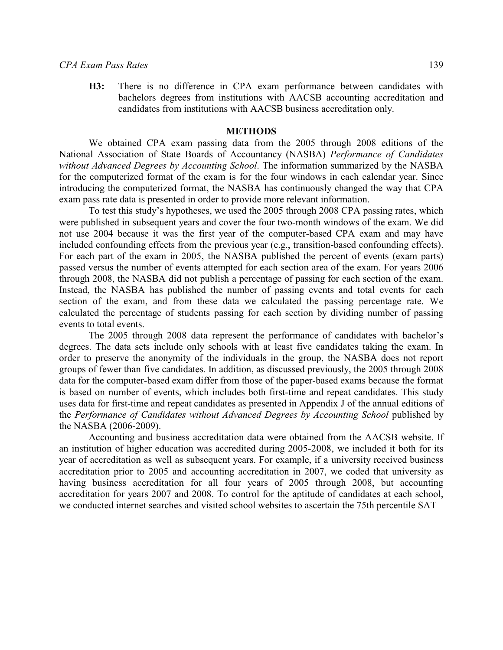**H3:** There is no difference in CPA exam performance between candidates with bachelors degrees from institutions with AACSB accounting accreditation and candidates from institutions with AACSB business accreditation only.

### **METHODS**

We obtained CPA exam passing data from the 2005 through 2008 editions of the National Association of State Boards of Accountancy (NASBA) *Performance of Candidates without Advanced Degrees by Accounting School*. The information summarized by the NASBA for the computerized format of the exam is for the four windows in each calendar year. Since introducing the computerized format, the NASBA has continuously changed the way that CPA exam pass rate data is presented in order to provide more relevant information.

To test this study's hypotheses, we used the 2005 through 2008 CPA passing rates, which were published in subsequent years and cover the four two-month windows of the exam. We did not use 2004 because it was the first year of the computer-based CPA exam and may have included confounding effects from the previous year (e.g., transition-based confounding effects). For each part of the exam in 2005, the NASBA published the percent of events (exam parts) passed versus the number of events attempted for each section area of the exam. For years 2006 through 2008, the NASBA did not publish a percentage of passing for each section of the exam. Instead, the NASBA has published the number of passing events and total events for each section of the exam, and from these data we calculated the passing percentage rate. We calculated the percentage of students passing for each section by dividing number of passing events to total events.

The 2005 through 2008 data represent the performance of candidates with bachelor's degrees. The data sets include only schools with at least five candidates taking the exam. In order to preserve the anonymity of the individuals in the group, the NASBA does not report groups of fewer than five candidates. In addition, as discussed previously, the 2005 through 2008 data for the computer-based exam differ from those of the paper-based exams because the format is based on number of events, which includes both first-time and repeat candidates. This study uses data for first-time and repeat candidates as presented in Appendix J of the annual editions of the *Performance of Candidates without Advanced Degrees by Accounting School published by* the NASBA (2006-2009).

Accounting and business accreditation data were obtained from the AACSB website. If an institution of higher education was accredited during 2005-2008, we included it both for its year of accreditation as well as subsequent years. For example, if a university received business accreditation prior to 2005 and accounting accreditation in 2007, we coded that university as having business accreditation for all four years of 2005 through 2008, but accounting accreditation for years 2007 and 2008. To control for the aptitude of candidates at each school, we conducted internet searches and visited school websites to ascertain the 75th percentile SAT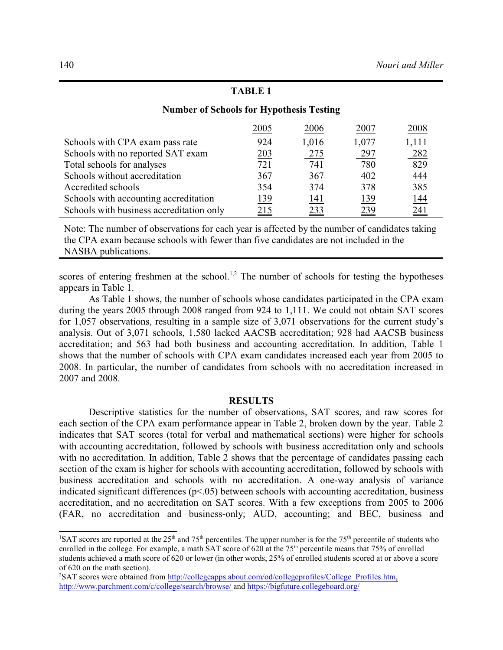# **TABLE 1**

|                                          | 2005       | 2006       | 2007  | 2008              |
|------------------------------------------|------------|------------|-------|-------------------|
| Schools with CPA exam pass rate          | 924        | 1,016      | 1,077 | 1,111             |
| Schools with no reported SAT exam        | 203        | <u>275</u> | 297   | 282               |
| Total schools for analyses               | 721        | 741        | 780   | 829               |
| Schools without accreditation            | 367        | 367        | 402   | $\frac{444}{385}$ |
| Accredited schools                       | 354        | 374        | 378   |                   |
| Schools with accounting accreditation    | <u>139</u> | <u>141</u> | 139   | <u>144</u>        |
| Schools with business accreditation only | 215        | 233        | 239   | 241               |

# **Number of Schools for Hypothesis Testing**

Note: The number of observations for each year is affected by the number of candidates taking the CPA exam because schools with fewer than five candidates are not included in the NASBA publications.

scores of entering freshmen at the school.<sup>1,2</sup> The number of schools for testing the hypotheses appears in Table 1.

As Table 1 shows, the number of schools whose candidates participated in the CPA exam during the years 2005 through 2008 ranged from 924 to 1,111. We could not obtain SAT scores for 1,057 observations, resulting in a sample size of 3,071 observations for the current study's analysis. Out of 3,071 schools, 1,580 lacked AACSB accreditation; 928 had AACSB business accreditation; and 563 had both business and accounting accreditation. In addition, Table 1 shows that the number of schools with CPA exam candidates increased each year from 2005 to 2008. In particular, the number of candidates from schools with no accreditation increased in 2007 and 2008.

## **RESULTS**

Descriptive statistics for the number of observations, SAT scores, and raw scores for each section of the CPA exam performance appear in Table 2, broken down by the year. Table 2 indicates that SAT scores (total for verbal and mathematical sections) were higher for schools with accounting accreditation, followed by schools with business accreditation only and schools with no accreditation. In addition, Table 2 shows that the percentage of candidates passing each section of the exam is higher for schools with accounting accreditation, followed by schools with business accreditation and schools with no accreditation. A one-way analysis of variance indicated significant differences ( $p<0.05$ ) between schools with accounting accreditation, business accreditation, and no accreditation on SAT scores. With a few exceptions from 2005 to 2006 (FAR, no accreditation and business-only; AUD, accounting; and BEC, business and

<sup>&</sup>lt;sup>1</sup>SAT scores are reported at the 25<sup>th</sup> and 75<sup>th</sup> percentiles. The upper number is for the 75<sup>th</sup> percentile of students who enrolled in the college. For example, a math SAT score of 620 at the 75<sup>th</sup> percentile means that 75% of enrolled students achieved a math score of 620 or lower (in other words, 25% of enrolled students scored at or above a score of 620 on the math section).

<sup>&</sup>lt;sup>2</sup>SAT scores were obtained from [http://collegeapps.about.com/od/collegeprofiles/College\\_Profiles.htm](http://collegeapps.about.com/od/collegeprofiles/College_Profiles.htm), <http://www.parchment.com/c/college/search/browse/> and <https://bigfuture.collegeboard.org/>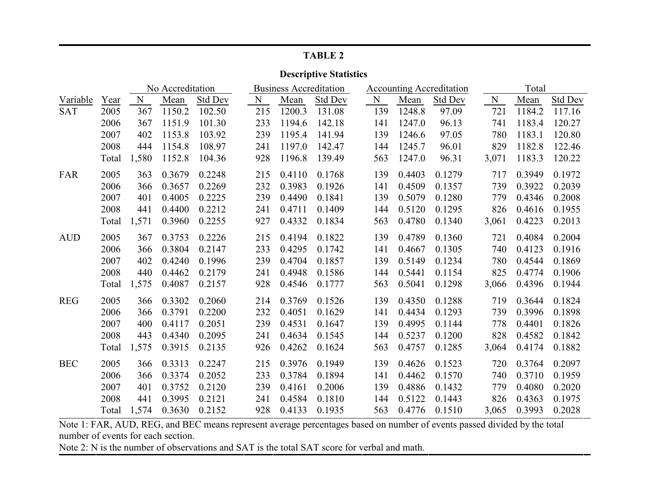| <b>TABLE 2</b>                |       |       |                  |                |     |                               |                |     |                                 |                |       |        |         |  |
|-------------------------------|-------|-------|------------------|----------------|-----|-------------------------------|----------------|-----|---------------------------------|----------------|-------|--------|---------|--|
| <b>Descriptive Statistics</b> |       |       |                  |                |     |                               |                |     |                                 |                |       |        |         |  |
|                               |       |       | No Accreditation |                |     | <b>Business Accreditation</b> |                |     | <b>Accounting Accreditation</b> |                |       | Total  |         |  |
| Variable                      | Year  | N     | Mean             | <b>Std Dev</b> | N   | Mean                          | <b>Std Dev</b> | N   | Mean                            | <b>Std Dev</b> | N     | Mean   | Std Dev |  |
| <b>SAT</b>                    | 2005  | 367   | 1150.2           | 102.50         | 215 | 1200.3                        | 131.08         | 139 | 1248.8                          | 97.09          | 721   | 1184.2 | 117.16  |  |
|                               | 2006  | 367   | 1151.9           | 101.30         | 233 | 1194.6                        | 142.18         | 141 | 1247.0                          | 96.13          | 741   | 1183.4 | 120.27  |  |
|                               | 2007  | 402   | 1153.8           | 103.92         | 239 | 1195.4                        | 141.94         | 139 | 1246.6                          | 97.05          | 780   | 1183.1 | 120.80  |  |
|                               | 2008  | 444   | 1154.8           | 108.97         | 241 | 1197.0                        | 142.47         | 144 | 1245.7                          | 96.01          | 829   | 1182.8 | 122.46  |  |
|                               | Total | 1,580 | 1152.8           | 104.36         | 928 | 1196.8                        | 139.49         | 563 | 1247.0                          | 96.31          | 3,071 | 1183.3 | 120.22  |  |
| <b>FAR</b>                    | 2005  | 363   | 0.3679           | 0.2248         | 215 | 0.4110                        | 0.1768         | 139 | 0.4403                          | 0.1279         | 717   | 0.3949 | 0.1972  |  |
|                               | 2006  | 366   | 0.3657           | 0.2269         | 232 | 0.3983                        | 0.1926         | 141 | 0.4509                          | 0.1357         | 739   | 0.3922 | 0.2039  |  |
|                               | 2007  | 401   | 0.4005           | 0.2225         | 239 | 0.4490                        | 0.1841         | 139 | 0.5079                          | 0.1280         | 779   | 0.4346 | 0.2008  |  |
|                               | 2008  | 441   | 0.4400           | 0.2212         | 241 | 0.4711                        | 0.1409         | 144 | 0.5120                          | 0.1295         | 826   | 0.4616 | 0.1955  |  |
|                               | Total | 1,571 | 0.3960           | 0.2255         | 927 | 0.4332                        | 0.1834         | 563 | 0.4780                          | 0.1340         | 3,061 | 0.4223 | 0.2013  |  |
| <b>AUD</b>                    | 2005  | 367   | 0.3753           | 0.2226         | 215 | 0.4194                        | 0.1822         | 139 | 0.4789                          | 0.1360         | 721   | 0.4084 | 0.2004  |  |
|                               | 2006  | 366   | 0.3804           | 0.2147         | 233 | 0.4295                        | 0.1742         | 141 | 0.4667                          | 0.1305         | 740   | 0.4123 | 0.1916  |  |
|                               | 2007  | 402   | 0.4240           | 0.1996         | 239 | 0.4704                        | 0.1857         | 139 | 0.5149                          | 0.1234         | 780   | 0.4544 | 0.1869  |  |
|                               | 2008  | 440   | 0.4462           | 0.2179         | 241 | 0.4948                        | 0.1586         | 144 | 0.5441                          | 0.1154         | 825   | 0.4774 | 0.1906  |  |
|                               | Total | 1,575 | 0.4087           | 0.2157         | 928 | 0.4546                        | 0.1777         | 563 | 0.5041                          | 0.1298         | 3,066 | 0.4396 | 0.1944  |  |
| <b>REG</b>                    | 2005  | 366   | 0.3302           | 0.2060         | 214 | 0.3769                        | 0.1526         | 139 | 0.4350                          | 0.1288         | 719   | 0.3644 | 0.1824  |  |
|                               | 2006  | 366   | 0.3791           | 0.2200         | 232 | 0.4051                        | 0.1629         | 141 | 0.4434                          | 0.1293         | 739   | 0.3996 | 0.1898  |  |
|                               | 2007  | 400   | 0.4117           | 0.2051         | 239 | 0.4531                        | 0.1647         | 139 | 0.4995                          | 0.1144         | 778   | 0.4401 | 0.1826  |  |
|                               | 2008  | 443   | 0.4340           | 0.2095         | 241 | 0.4634                        | 0.1545         | 144 | 0.5237                          | 0.1200         | 828   | 0.4582 | 0.1842  |  |
|                               | Total | 1,575 | 0.3915           | 0.2135         | 926 | 0.4262                        | 0.1624         | 563 | 0.4757                          | 0.1285         | 3,064 | 0.4174 | 0.1882  |  |
| <b>BEC</b>                    | 2005  | 366   | 0.3313           | 0.2247         | 215 | 0.3976                        | 0.1949         | 139 | 0.4626                          | 0.1523         | 720   | 0.3764 | 0.2097  |  |
|                               | 2006  | 366   | 0.3374           | 0.2052         | 233 | 0.3784                        | 0.1894         | 141 | 0.4462                          | 0.1570         | 740   | 0.3710 | 0.1959  |  |
|                               | 2007  | 401   | 0.3752           | 0.2120         | 239 | 0.4161                        | 0.2006         | 139 | 0.4886                          | 0.1432         | 779   | 0.4080 | 0.2020  |  |
|                               | 2008  | 441   | 0.3995           | 0.2121         | 241 | 0.4584                        | 0.1810         | 144 | 0.5122                          | 0.1443         | 826   | 0.4363 | 0.1975  |  |
|                               | Total | 1,574 | 0.3630           | 0.2152         | 928 | 0.4133                        | 0.1935         | 563 | 0.4776                          | 0.1510         | 3,065 | 0.3993 | 0.2028  |  |

Note 1: FAR, AUD, REG, and BEC means represent average percentages based on number of events passed divided by the total number of events for each section.

Note 2: N is the number of observations and SAT is the total SAT score for verbal and math.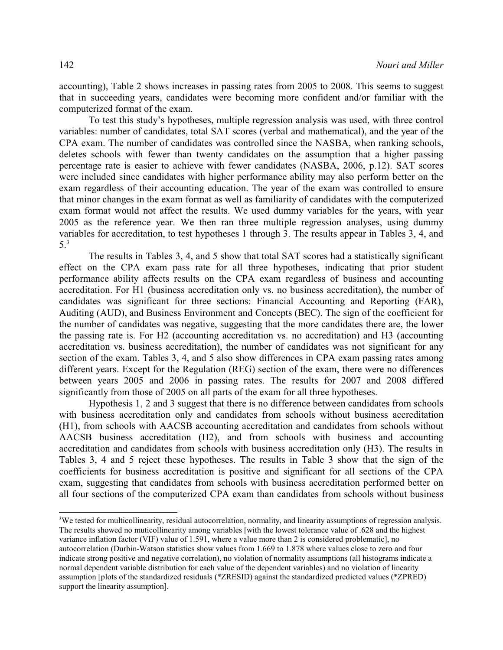accounting), Table 2 shows increases in passing rates from 2005 to 2008. This seems to suggest that in succeeding years, candidates were becoming more confident and/or familiar with the computerized format of the exam.

To test this study's hypotheses, multiple regression analysis was used, with three control variables: number of candidates, total SAT scores (verbal and mathematical), and the year of the CPA exam. The number of candidates was controlled since the NASBA, when ranking schools, deletes schools with fewer than twenty candidates on the assumption that a higher passing percentage rate is easier to achieve with fewer candidates (NASBA, 2006, p.12). SAT scores were included since candidates with higher performance ability may also perform better on the exam regardless of their accounting education. The year of the exam was controlled to ensure that minor changes in the exam format as well as familiarity of candidates with the computerized exam format would not affect the results. We used dummy variables for the years, with year 2005 as the reference year. We then ran three multiple regression analyses, using dummy variables for accreditation, to test hypotheses 1 through 3. The results appear in Tables 3, 4, and 5.3

The results in Tables 3, 4, and 5 show that total SAT scores had a statistically significant effect on the CPA exam pass rate for all three hypotheses, indicating that prior student performance ability affects results on the CPA exam regardless of business and accounting accreditation. For H1 (business accreditation only vs. no business accreditation), the number of candidates was significant for three sections: Financial Accounting and Reporting (FAR), Auditing (AUD), and Business Environment and Concepts (BEC). The sign of the coefficient for the number of candidates was negative, suggesting that the more candidates there are, the lower the passing rate is. For H2 (accounting accreditation vs. no accreditation) and H3 (accounting accreditation vs. business accreditation), the number of candidates was not significant for any section of the exam. Tables 3, 4, and 5 also show differences in CPA exam passing rates among different years. Except for the Regulation (REG) section of the exam, there were no differences between years 2005 and 2006 in passing rates. The results for 2007 and 2008 differed significantly from those of 2005 on all parts of the exam for all three hypotheses.

Hypothesis 1, 2 and 3 suggest that there is no difference between candidates from schools with business accreditation only and candidates from schools without business accreditation (H1), from schools with AACSB accounting accreditation and candidates from schools without AACSB business accreditation (H2), and from schools with business and accounting accreditation and candidates from schools with business accreditation only (H3). The results in Tables 3, 4 and 5 reject these hypotheses. The results in Table 3 show that the sign of the coefficients for business accreditation is positive and significant for all sections of the CPA exam, suggesting that candidates from schools with business accreditation performed better on all four sections of the computerized CPA exam than candidates from schools without business

<sup>3</sup>We tested for multicollinearity, residual autocorrelation, normality, and linearity assumptions of regression analysis. The results showed no muticollinearity among variables [with the lowest tolerance value of .628 and the highest variance inflation factor (VIF) value of 1.591, where a value more than 2 is considered problematic], no autocorrelation (Durbin-Watson statistics show values from 1.669 to 1.878 where values close to zero and four indicate strong positive and negative correlation), no violation of normality assumptions (all histograms indicate a normal dependent variable distribution for each value of the dependent variables) and no violation of linearity assumption [plots of the standardized residuals (\*ZRESID) against the standardized predicted values (\*ZPRED) support the linearity assumption].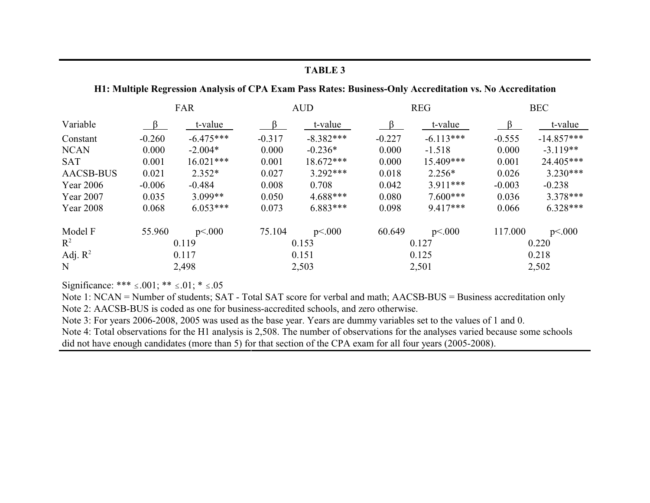### FAR  $\mbox{\rm AUD}$ **REG BEC** Variable  $\beta$ t-value t-value t-value t-value  $\beta$  $\beta$  $\beta$  $-6.475***$  $-8.382***$  $-6.113***$  $-14.857***$  $-0.260$  $-0.317$  $-0.227$  $-0.555$ Constant  $-2.004*$ 0.000  $-0.236*$  $0.000$ 0.000  $-3.119**$ 0.000 **NCAN**  $-1.518$ **SAT**  $0.001$  $16.021***$ 0.001  $18.672***$ 0.000 15.409\*\*\* 0.001 24.405\*\*\* **AACSB-BUS**  $2.352*$ 0.027  $3.292***$ 0.018 0.026  $3.230***$ 0.021  $2.256*$ **Year 2006**  $-0.006$  $-0.484$ 0.008 0.708 0.042  $3.911***$  $-0.003$  $-0.238$ Year 2007 0.035  $3.099**$ 0.050  $4.688***$ 0.080  $7.600***$ 0.036  $3.378***$ Year 2008 0.068 0.073  $6.883***$ 0.098 9.417\*\*\* 0.066  $6.328***$  $6.053***$ Model F 55.960  $p<.000$ 75.104  $p<.000$ 60.649  $p<.000$ 117.000  $p<.000$  $R^2$ 0.119 0.153 0.127 0.220 Adj.  $R^2$ 0.117 0.151 0.125 0.218  $\mathbf N$ 2,498 2,503 2,501 2,502

Significance: \*\*\*  $\leq .001$ ; \*\*  $\leq .01$ ; \*  $\leq .05$ 

Note 1: NCAN = Number of students; SAT - Total SAT score for verbal and math; AACSB-BUS = Business accreditation only Note 2: AACSB-BUS is coded as one for business-accredited schools, and zero otherwise.

Note 3: For years 2006-2008, 2005 was used as the base year. Years are dummy variables set to the values of 1 and 0.

Note 4: Total observations for the H1 analysis is 2,508. The number of observations for the analyses varied because some schools did not have enough candidates (more than 5) for that section of the CPA exam for all four years (2005-2008).

# **TABLE 3**

# H1: Multiple Regression Analysis of CPA Exam Pass Rates: Business-Only Accreditation vs. No Accreditation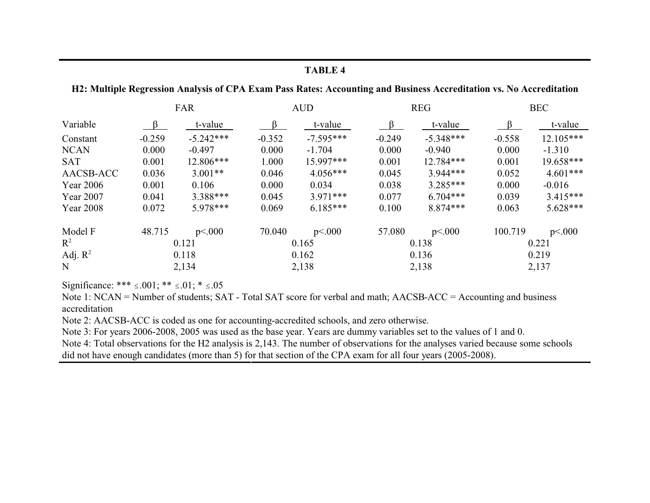# **TABLE 4**

## H2: Multiple Regression Analysis of CPA Exam Pass Rates: Accounting and Business Accreditation vs. No Accreditation

|                  |          | FAR         |          | <b>AUD</b>  |          | <b>REG</b>  | <b>BEC</b> |             |  |
|------------------|----------|-------------|----------|-------------|----------|-------------|------------|-------------|--|
| Variable         | $\beta$  | t-value     | $\beta$  | t-value     | $\beta$  | t-value     | $\beta$    | t-value     |  |
| Constant         | $-0.259$ | $-5.242***$ | $-0.352$ | $-7.595***$ | $-0.249$ | $-5.348***$ | $-0.558$   | $12.105***$ |  |
| <b>NCAN</b>      | 0.000    | $-0.497$    | 0.000    | $-1.704$    | 0.000    | $-0.940$    | 0.000      | $-1.310$    |  |
| <b>SAT</b>       | 0.001    | 12.806***   | 1.000    | 15.997***   | 0.001    | 12.784***   | 0.001      | 19.658***   |  |
| AACSB-ACC        | 0.036    | $3.001**$   | 0.046    | $4.056***$  | 0.045    | $3.944***$  | 0.052      | $4.601***$  |  |
| Year 2006        | 0.001    | 0.106       | 0.000    | 0.034       | 0.038    | $3.285***$  | 0.000      | $-0.016$    |  |
| Year 2007        | 0.041    | $3.388***$  | 0.045    | $3.971***$  | 0.077    | $6.704***$  | 0.039      | $3.415***$  |  |
| <b>Year 2008</b> | 0.072    | 5.978***    | 0.069    | $6.185***$  | 0.100    | 8.874***    | 0.063      | $5.628***$  |  |
| Model F          | 48.715   | p<.000      | 70.040   | p<.000      | 57.080   | p<.000      | 100.719    | p<.000      |  |
| $\mathbb{R}^2$   | 0.121    |             | 0.165    |             | 0.138    |             | 0.221      |             |  |
| Adj. $R^2$       | 0.118    |             | 0.162    |             | 0.136    |             | 0.219      |             |  |
| N                | 2,134    |             | 2,138    |             |          | 2,138       | 2,137      |             |  |

Significance: \*\*\*  $\leq .001$ ; \*\*  $\leq .01$ ; \*  $\leq .05$ 

Note 1: NCAN = Number of students; SAT - Total SAT score for verbal and math; AACSB-ACC = Accounting and business accreditation

Note 2: AACSB-ACC is coded as one for accounting-accredited schools, and zero otherwise.

Note 3: For years 2006-2008, 2005 was used as the base year. Years are dummy variables set to the values of 1 and 0.

Note 4: Total observations for the H2 analysis is 2,143. The number of observations for the analyses varied because some schools did not have enough candidates (more than 5) for that section of the CPA exam for all four years (2005-2008).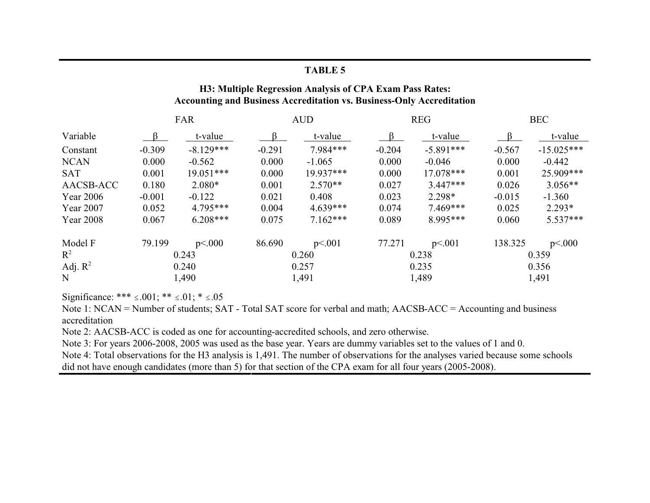# **TABLE 5**

# H3: Multiple Regression Analysis of CPA Exam Pass Rates: Accounting and Business Accreditation vs. Business-Only Accreditation

|                  | FAR      |             |          | <b>AUD</b> |          | <b>REG</b>  | <b>BEC</b> |              |  |
|------------------|----------|-------------|----------|------------|----------|-------------|------------|--------------|--|
| Variable         | $\beta$  | t-value     | $\beta$  | t-value    | $\beta$  | t-value     | $\beta$    | t-value      |  |
| Constant         | $-0.309$ | $-8.129***$ | $-0.291$ | 7.984***   | $-0.204$ | $-5.891***$ | $-0.567$   | $-15.025***$ |  |
| <b>NCAN</b>      | 0.000    | $-0.562$    | 0.000    | $-1.065$   | 0.000    | $-0.046$    | 0.000      | $-0.442$     |  |
| <b>SAT</b>       | 0.001    | $19.051***$ | 0.000    | 19.937***  | 0.000    | $17.078***$ | 0.001      | 25.909***    |  |
| AACSB-ACC        | 0.180    | $2.080*$    | 0.001    | $2.570**$  | 0.027    | $3.447***$  | 0.026      | $3.056**$    |  |
| Year 2006        | $-0.001$ | $-0.122$    | 0.021    | 0.408      | 0.023    | 2.298*      | $-0.015$   | $-1.360$     |  |
| Year 2007        | 0.052    | 4.795***    | 0.004    | $4.639***$ | 0.074    | $7.469***$  | 0.025      | $2.293*$     |  |
| <b>Year 2008</b> | 0.067    | $6.208***$  | 0.075    | $7.162***$ | 0.089    | 8.995***    | 0.060      | $5.537***$   |  |
| Model F          | 79.199   | p<.000      | 86.690   | p<.001     | 77.271   | p<.001      | 138.325    | p<.000       |  |
| $R^2$            | 0.243    |             | 0.260    |            | 0.238    |             | 0.359      |              |  |
| Adj. $R^2$       | 0.240    |             | 0.257    |            | 0.235    |             | 0.356      |              |  |
| $\mathbf N$      | 1,490    |             | 1,491    |            |          | 1,489       | 1,491      |              |  |

Significance: \*\*\*  $\leq .001$ ; \*\*  $\leq .01$ ; \*  $\leq .05$ 

Note 1: NCAN = Number of students; SAT - Total SAT score for verbal and math; AACSB-ACC = Accounting and business accreditation

Note 2: AACSB-ACC is coded as one for accounting-accredited schools, and zero otherwise.

Note 3: For years 2006-2008, 2005 was used as the base year. Years are dummy variables set to the values of 1 and 0.

Note 4: Total observations for the H3 analysis is 1,491. The number of observations for the analyses varied because some schools did not have enough candidates (more than 5) for that section of the CPA exam for all four years (2005-2008).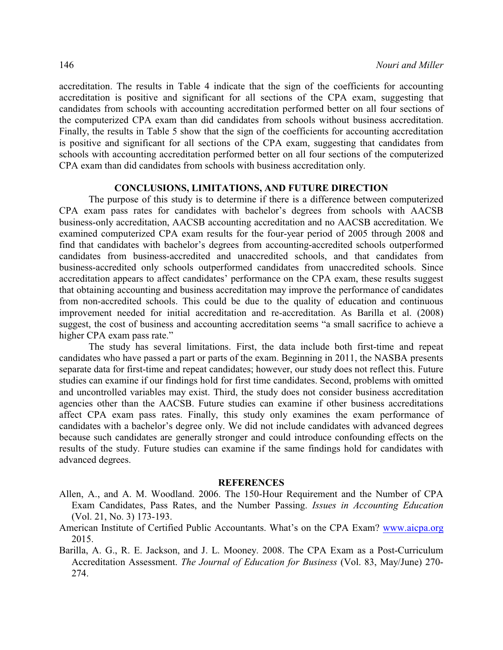accreditation. The results in Table 4 indicate that the sign of the coefficients for accounting accreditation is positive and significant for all sections of the CPA exam, suggesting that candidates from schools with accounting accreditation performed better on all four sections of the computerized CPA exam than did candidates from schools without business accreditation. Finally, the results in Table 5 show that the sign of the coefficients for accounting accreditation is positive and significant for all sections of the CPA exam, suggesting that candidates from schools with accounting accreditation performed better on all four sections of the computerized CPA exam than did candidates from schools with business accreditation only.

### **CONCLUSIONS, LIMITATIONS, AND FUTURE DIRECTION**

The purpose of this study is to determine if there is a difference between computerized CPA exam pass rates for candidates with bachelor's degrees from schools with AACSB business-only accreditation, AACSB accounting accreditation and no AACSB accreditation. We examined computerized CPA exam results for the four-year period of 2005 through 2008 and find that candidates with bachelor's degrees from accounting-accredited schools outperformed candidates from business-accredited and unaccredited schools, and that candidates from business-accredited only schools outperformed candidates from unaccredited schools. Since accreditation appears to affect candidates' performance on the CPA exam, these results suggest that obtaining accounting and business accreditation may improve the performance of candidates from non-accredited schools. This could be due to the quality of education and continuous improvement needed for initial accreditation and re-accreditation. As Barilla et al. (2008) suggest, the cost of business and accounting accreditation seems "a small sacrifice to achieve a higher CPA exam pass rate."

The study has several limitations. First, the data include both first-time and repeat candidates who have passed a part or parts of the exam. Beginning in 2011, the NASBA presents separate data for first-time and repeat candidates; however, our study does not reflect this. Future studies can examine if our findings hold for first time candidates. Second, problems with omitted and uncontrolled variables may exist. Third, the study does not consider business accreditation agencies other than the AACSB. Future studies can examine if other business accreditations affect CPA exam pass rates. Finally, this study only examines the exam performance of candidates with a bachelor's degree only. We did not include candidates with advanced degrees because such candidates are generally stronger and could introduce confounding effects on the results of the study. Future studies can examine if the same findings hold for candidates with advanced degrees.

### **REFERENCES**

- Allen, A., and A. M. Woodland. 2006. The 150-Hour Requirement and the Number of CPA Exam Candidates, Pass Rates, and the Number Passing. *Issues in Accounting Education* (Vol. 21, No. 3) 173-193.
- American Institute of Certified Public Accountants. What's on the CPA Exam? [www.aicpa.org](http://www.AICPA.org) 2015.
- Barilla, A. G., R. E. Jackson, and J. L. Mooney. 2008. The CPA Exam as a Post-Curriculum Accreditation Assessment. *The Journal of Education for Business* (Vol. 83, May/June) 270- 274.